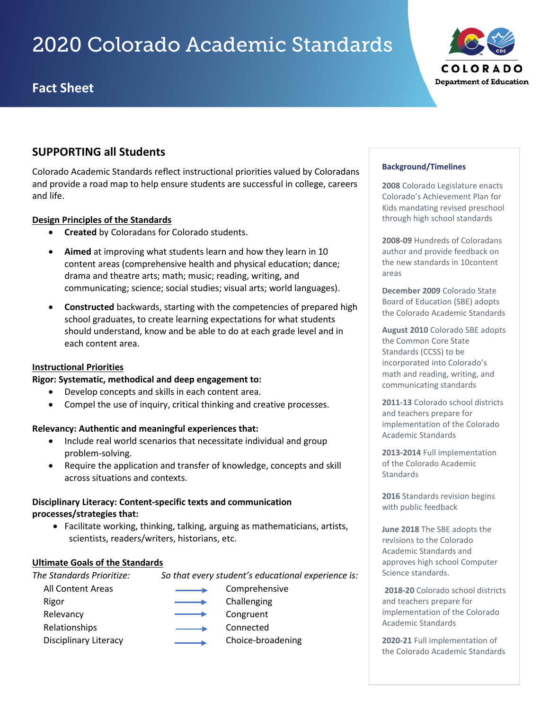# 2020 Colorado Academic Standards

# **Fact Sheet**



# **SUPPORTING all Students**

Colorado Academic Standards reflect instructional priorities valued by Coloradans and provide a road map to help ensure students are successful in college, careers and life.

## **Design Principles of the Standards**

- **Created** by Coloradans for Colorado students.
- **Aimed** at improving what students learn and how they learn in 10 content areas (comprehensive health and physical education; dance; drama and theatre arts; math; music; reading, writing, and communicating; science; social studies; visual arts; world languages).
- **Constructed** backwards, starting with the competencies of prepared high school graduates, to create learning expectations for what students should understand, know and be able to do at each grade level and in each content area.

### **Instructional Priorities**

**Rigor: Systematic, methodical and deep engagement to:** 

- Develop concepts and skills in each content area.
- Compel the use of inquiry, critical thinking and creative processes.

### **Relevancy: Authentic and meaningful experiences that:**

- Include real world scenarios that necessitate individual and group problem-solving.
- Require the application and transfer of knowledge, concepts and skill across situations and contexts.

## **Disciplinary Literacy: Content-specific texts and communication processes/strategies that:**

• Facilitate working, thinking, talking, arguing as mathematicians, artists, scientists, readers/writers, historians, etc.

### **Ultimate Goals of the Standards**

*The Standards Prioritize: So that every student's educational experience is:*

All Content Areas **Comprehensive** Rigor **Challenging** Challenging Relevancy **Congruent** Congruent Relationships **Connected** Disciplinary Literacy **Choice-broadening** 

#### **Background/Timelines**

**2008** Colorado Legislature enacts Colorado's Achievement Plan for Kids mandating revised preschool through high school standards

**2008-09** Hundreds of Coloradans author and provide feedback on the new standards in 10content areas

**December 2009** Colorado State Board of Education (SBE) adopts the Colorado Academic Standards

**August 2010** Colorado SBE adopts the Common Core State Standards (CCSS) to be incorporated into Colorado's math and reading, writing, and communicating standards

**2011-13** Colorado school districts and teachers prepare for implementation of the Colorado Academic Standards

**2013-2014** Full implementation of the Colorado Academic **Standards** 

**2016** Standards revision begins with public feedback

**June 2018** The SBE adopts the revisions to the Colorado Academic Standards and approves high school Computer Science standards.

**2018-20** Colorado school districts and teachers prepare for implementation of the Colorado Academic Standards

**2020-21** Full implementation of the Colorado Academic Standards